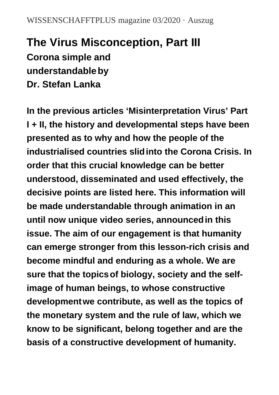# **The Virus Misconception, Part III Corona simple and understandableby Dr. Stefan Lanka**

**In the previous articles 'Misinterpretation Virus' Part I + II, the history and developmental steps have been presented as to why and how the people of the industrialised countries slidinto the Corona Crisis. In order that this crucial knowledge can be better understood, disseminated and used effectively, the decisive points are listed here. This information will be made understandable through animation in an until now unique video series, announcedin this issue. The aim of our engagement is that humanity can emerge stronger from this lesson-rich crisis and become mindful and enduring as a whole. We are sure that the topicsof biology, society and the selfimage of human beings, to whose constructive developmentwe contribute, as well as the topics of the monetary system and the rule of law, which we know to be significant, belong together and are the basis of a constructive development of humanity.**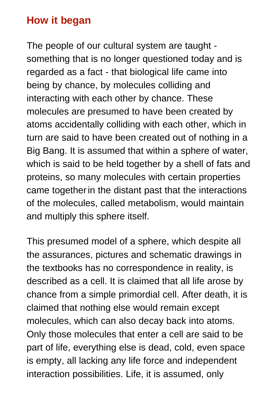#### **How it began**

The people of our cultural system are taught something that is no longer questioned today and is regarded as a fact - that biological life came into being by chance, by molecules colliding and interacting with each other by chance. These molecules are presumed to have been created by atoms accidentally colliding with each other, which in turn are said to have been created out of nothing in a Big Bang. It is assumed that within a sphere of water, which is said to be held together by a shell of fats and proteins, so many molecules with certain properties came togetherin the distant past that the interactions of the molecules, called metabolism, would maintain and multiply this sphere itself.

This presumed model of a sphere, which despite all the assurances, pictures and schematic drawings in the textbooks has no correspondence in reality, is described as a cell. It is claimed that all life arose by chance from a simple primordial cell. After death, it is claimed that nothing else would remain except molecules, which can also decay back into atoms. Only those molecules that enter a cell are said to be part of life, everything else is dead, cold, even space is empty, all lacking any life force and independent interaction possibilities. Life, it is assumed, only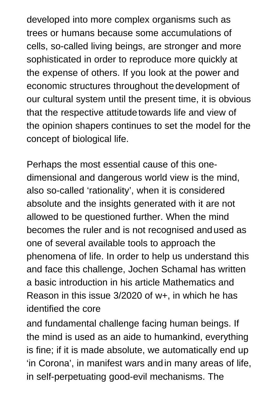developed into more complex organisms such as trees or humans because some accumulations of cells, so-called living beings, are stronger and more sophisticated in order to reproduce more quickly at the expense of others. If you look at the power and economic structures throughout thedevelopment of our cultural system until the present time, it is obvious that the respective attitude towards life and view of the opinion shapers continues to set the model for the concept of biological life.

Perhaps the most essential cause of this onedimensional and dangerous world view is the mind, also so-called 'rationality', when it is considered absolute and the insights generated with it are not allowed to be questioned further. When the mind becomes the ruler and is not recognised andused as one of several available tools to approach the phenomena of life. In order to help us understand this and face this challenge, Jochen Schamal has written a basic introduction in his article Mathematics and Reason in this issue 3/2020 of w+, in which he has identified the core

and fundamental challenge facing human beings. If the mind is used as an aide to humankind, everything is fine; if it is made absolute, we automatically end up 'in Corona', in manifest wars andin many areas of life, in self-perpetuating good-evil mechanisms. The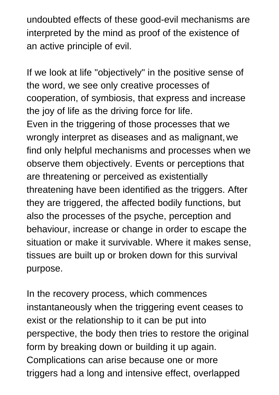undoubted effects of these good-evil mechanisms are interpreted by the mind as proof of the existence of an active principle of evil.

If we look at life "objectively" in the positive sense of the word, we see only creative processes of cooperation, of symbiosis, that express and increase the joy of life as the driving force for life. Even in the triggering of those processes that we wrongly interpret as diseases and as malignant,we find only helpful mechanisms and processes when we observe them objectively. Events or perceptions that are threatening or perceived as existentially threatening have been identified as the triggers. After they are triggered, the affected bodily functions, but also the processes of the psyche, perception and behaviour, increase or change in order to escape the situation or make it survivable. Where it makes sense, tissues are built up or broken down for this survival purpose.

In the recovery process, which commences instantaneously when the triggering event ceases to exist or the relationship to it can be put into perspective, the body then tries to restore the original form by breaking down or building it up again. Complications can arise because one or more triggers had a long and intensive effect, overlapped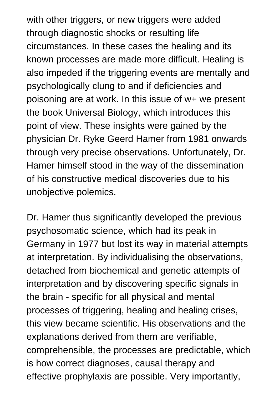with other triggers, or new triggers were added through diagnostic shocks or resulting life circumstances. In these cases the healing and its known processes are made more difficult. Healing is also impeded if the triggering events are mentally and psychologically clung to and if deficiencies and poisoning are at work. In this issue of w+ we present the book Universal Biology, which introduces this point of view. These insights were gained by the physician Dr. Ryke Geerd Hamer from 1981 onwards through very precise observations. Unfortunately, Dr. Hamer himself stood in the way of the dissemination of his constructive medical discoveries due to his unobjective polemics.

Dr. Hamer thus significantly developed the previous psychosomatic science, which had its peak in Germany in 1977 but lost its way in material attempts at interpretation. By individualising the observations, detached from biochemical and genetic attempts of interpretation and by discovering specific signals in the brain - specific for all physical and mental processes of triggering, healing and healing crises, this view became scientific. His observations and the explanations derived from them are verifiable, comprehensible, the processes are predictable, which is how correct diagnoses, causal therapy and effective prophylaxis are possible. Very importantly,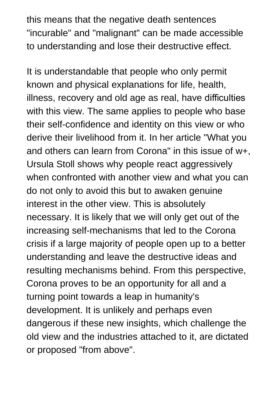this means that the negative death sentences "incurable" and "malignant" can be made accessible to understanding and lose their destructive effect.

It is understandable that people who only permit known and physical explanations for life, health, illness, recovery and old age as real, have difficulties with this view. The same applies to people who base their self-confidence and identity on this view or who derive their livelihood from it. In her article "What you and others can learn from Corona" in this issue of w+, Ursula Stoll shows why people react aggressively when confronted with another view and what you can do not only to avoid this but to awaken genuine interest in the other view. This is absolutely necessary. It is likely that we will only get out of the increasing self-mechanisms that led to the Corona crisis if a large majority of people open up to a better understanding and leave the destructive ideas and resulting mechanisms behind. From this perspective, Corona proves to be an opportunity for all and a turning point towards a leap in humanity's development. It is unlikely and perhaps even dangerous if these new insights, which challenge the old view and the industries attached to it, are dictated or proposed "from above".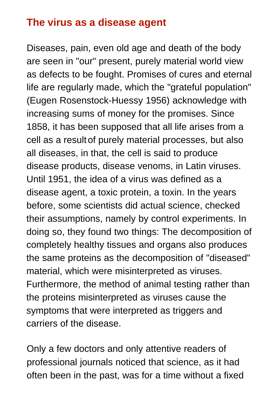#### **The virus as a disease agent**

Diseases, pain, even old age and death of the body are seen in "our" present, purely material world view as defects to be fought. Promises of cures and eternal life are regularly made, which the "grateful population" (Eugen Rosenstock-Huessy 1956) acknowledge with increasing sums of money for the promises. Since 1858, it has been supposed that all life arises from a cell as a resultof purely material processes, but also all diseases, in that, the cell is said to produce disease products, disease venoms, in Latin viruses. Until 1951, the idea of a virus was defined as a disease agent, a toxic protein, a toxin. In the years before, some scientists did actual science, checked their assumptions, namely by control experiments. In doing so, they found two things: The decomposition of completely healthy tissues and organs also produces the same proteins as the decomposition of "diseased" material, which were misinterpreted as viruses. Furthermore, the method of animal testing rather than the proteins misinterpreted as viruses cause the symptoms that were interpreted as triggers and carriers of the disease.

Only a few doctors and only attentive readers of professional journals noticed that science, as it had often been in the past, was for a time without a fixed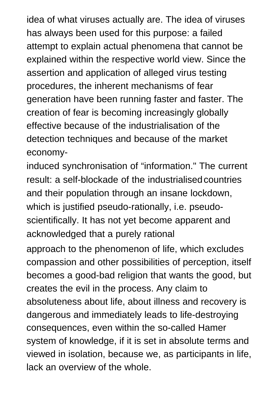idea of what viruses actually are. The idea of viruses has always been used for this purpose: a failed attempt to explain actual phenomena that cannot be explained within the respective world view. Since the assertion and application of alleged virus testing procedures, the inherent mechanisms of fear generation have been running faster and faster. The creation of fear is becoming increasingly globally effective because of the industrialisation of the detection techniques and because of the market economy-

induced synchronisation of "information." The current result: a self-blockade of the industrialisedcountries and their population through an insane lockdown, which is justified pseudo-rationally, i.e. pseudoscientifically. It has not yet become apparent and acknowledged that a purely rational

approach to the phenomenon of life, which excludes compassion and other possibilities of perception, itself becomes a good-bad religion that wants the good, but creates the evil in the process. Any claim to absoluteness about life, about illness and recovery is dangerous and immediately leads to life-destroying consequences, even within the so-called Hamer system of knowledge, if it is set in absolute terms and viewed in isolation, because we, as participants in life, lack an overview of the whole.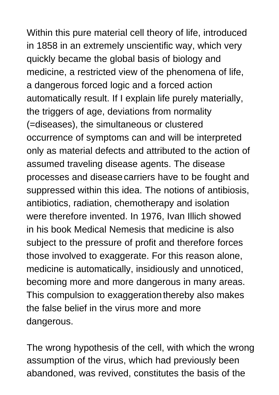Within this pure material cell theory of life, introduced in 1858 in an extremely unscientific way, which very quickly became the global basis of biology and medicine, a restricted view of the phenomena of life, a dangerous forced logic and a forced action automatically result. If I explain life purely materially, the triggers of age, deviations from normality (=diseases), the simultaneous or clustered occurrence of symptoms can and will be interpreted only as material defects and attributed to the action of assumed traveling disease agents. The disease processes and diseasecarriers have to be fought and suppressed within this idea. The notions of antibiosis, antibiotics, radiation, chemotherapy and isolation were therefore invented. In 1976, Ivan Illich showed in his book Medical Nemesis that medicine is also subject to the pressure of profit and therefore forces those involved to exaggerate. For this reason alone, medicine is automatically, insidiously and unnoticed, becoming more and more dangerous in many areas. This compulsion to exaggeration thereby also makes the false belief in the virus more and more dangerous.

The wrong hypothesis of the cell, with which the wrong assumption of the virus, which had previously been abandoned, was revived, constitutes the basis of the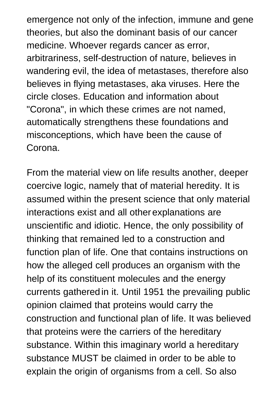emergence not only of the infection, immune and gene theories, but also the dominant basis of our cancer medicine. Whoever regards cancer as error, arbitrariness, self-destruction of nature, believes in wandering evil, the idea of metastases, therefore also believes in flying metastases, aka viruses. Here the circle closes. Education and information about "Corona", in which these crimes are not named, automatically strengthens these foundations and misconceptions, which have been the cause of Corona.

From the material view on life results another, deeper coercive logic, namely that of material heredity. It is assumed within the present science that only material interactions exist and all otherexplanations are unscientific and idiotic. Hence, the only possibility of thinking that remained led to a construction and function plan of life. One that contains instructions on how the alleged cell produces an organism with the help of its constituent molecules and the energy currents gatheredin it. Until 1951 the prevailing public opinion claimed that proteins would carry the construction and functional plan of life. It was believed that proteins were the carriers of the hereditary substance. Within this imaginary world a hereditary substance MUST be claimed in order to be able to explain the origin of organisms from a cell. So also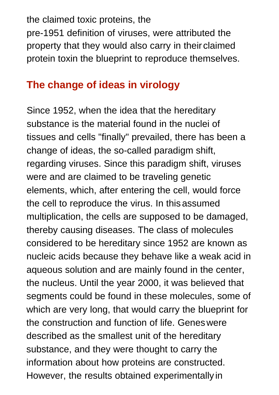the claimed toxic proteins, the pre-1951 definition of viruses, were attributed the property that they would also carry in their claimed protein toxin the blueprint to reproduce themselves.

## **The change of ideas in virology**

Since 1952, when the idea that the hereditary substance is the material found in the nuclei of tissues and cells "finally" prevailed, there has been a change of ideas, the so-called paradigm shift, regarding viruses. Since this paradigm shift, viruses were and are claimed to be traveling genetic elements, which, after entering the cell, would force the cell to reproduce the virus. In thisassumed multiplication, the cells are supposed to be damaged, thereby causing diseases. The class of molecules considered to be hereditary since 1952 are known as nucleic acids because they behave like a weak acid in aqueous solution and are mainly found in the center, the nucleus. Until the year 2000, it was believed that segments could be found in these molecules, some of which are very long, that would carry the blueprint for the construction and function of life. Geneswere described as the smallest unit of the hereditary substance, and they were thought to carry the information about how proteins are constructed. However, the results obtained experimentally in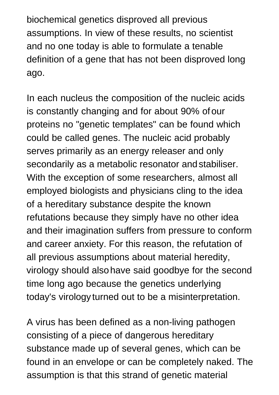biochemical genetics disproved all previous assumptions. In view of these results, no scientist and no one today is able to formulate a tenable definition of a gene that has not been disproved long ago.

In each nucleus the composition of the nucleic acids is constantly changing and for about 90% ofour proteins no "genetic templates" can be found which could be called genes. The nucleic acid probably serves primarily as an energy releaser and only secondarily as a metabolic resonator and stabiliser. With the exception of some researchers, almost all employed biologists and physicians cling to the idea of a hereditary substance despite the known refutations because they simply have no other idea and their imagination suffers from pressure to conform and career anxiety. For this reason, the refutation of all previous assumptions about material heredity, virology should alsohave said goodbye for the second time long ago because the genetics underlying today's virology turned out to be a misinterpretation.

A virus has been defined as a non-living pathogen consisting of a piece of dangerous hereditary substance made up of several genes, which can be found in an envelope or can be completely naked. The assumption is that this strand of genetic material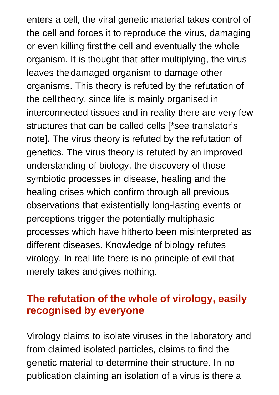enters a cell, the viral genetic material takes control of the cell and forces it to reproduce the virus, damaging or even killing firstthe cell and eventually the whole organism. It is thought that after multiplying, the virus leaves thedamaged organism to damage other organisms. This theory is refuted by the refutation of the celltheory, since life is mainly organised in interconnected tissues and in reality there are very few structures that can be called cells [\*see translator's note]**.** The virus theory is refuted by the refutation of genetics. The virus theory is refuted by an improved understanding of biology, the discovery of those symbiotic processes in disease, healing and the healing crises which confirm through all previous observations that existentially long-lasting events or perceptions trigger the potentially multiphasic processes which have hitherto been misinterpreted as different diseases. Knowledge of biology refutes virology. In real life there is no principle of evil that merely takes andgives nothing.

#### **The refutation of the whole of virology, easily recognised by everyone**

Virology claims to isolate viruses in the laboratory and from claimed isolated particles, claims to find the genetic material to determine their structure. In no publication claiming an isolation of a virus is there a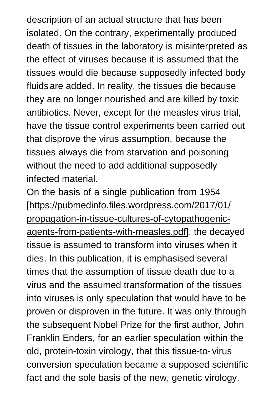description of an actual structure that has been isolated. On the contrary, experimentally produced death of tissues in the laboratory is misinterpreted as the effect of viruses because it is assumed that the tissues would die because supposedly infected body fluidsare added. In reality, the tissues die because they are no longer nourished and are killed by toxic antibiotics. Never, except for the measles virus trial, have the tissue control experiments been carried out that disprove the virus assumption, because the tissues always die from starvation and poisoning without the need to add additional supposedly infected material.

On the basis of a single publication from 1954 [https://pubmedinfo.files.wordpress.com/2017/01/ propagation-in-tissue-cultures-of-cytopathogenicagents-from-patients-with-measles.pdf], the decayed tissue is assumed to transform into viruses when it dies. In this publication, it is emphasised several times that the assumption of tissue death due to a virus and the assumed transformation of the tissues into viruses is only speculation that would have to be proven or disproven in the future. It was only through the subsequent Nobel Prize for the first author, John Franklin Enders, for an earlier speculation within the old, protein-toxin virology, that this tissue-to- virus conversion speculation became a supposed scientific fact and the sole basis of the new, genetic virology.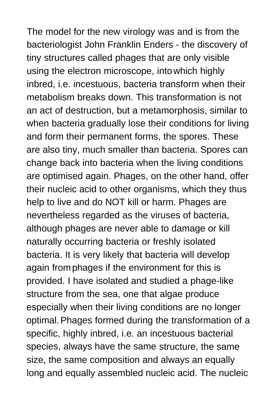The model for the new virology was and is from the bacteriologist John Franklin Enders - the discovery of tiny structures called phages that are only visible using the electron microscope, intowhich highly inbred, i.e. incestuous, bacteria transform when their metabolism breaks down. This transformation is not an act of destruction, but a metamorphosis, similar to when bacteria gradually lose their conditions for living and form their permanent forms, the spores. These are also tiny, much smaller than bacteria. Spores can change back into bacteria when the living conditions are optimised again. Phages, on the other hand, offer their nucleic acid to other organisms, which they thus help to live and do NOT kill or harm. Phages are nevertheless regarded as the viruses of bacteria, although phages are never able to damage or kill naturally occurring bacteria or freshly isolated bacteria. It is very likely that bacteria will develop again fromphages if the environment for this is provided. I have isolated and studied a phage-like structure from the sea, one that algae produce especially when their living conditions are no longer optimal.Phages formed during the transformation of a specific, highly inbred, i.e. an incestuous bacterial species, always have the same structure, the same size, the same composition and always an equally long and equally assembled nucleic acid. The nucleic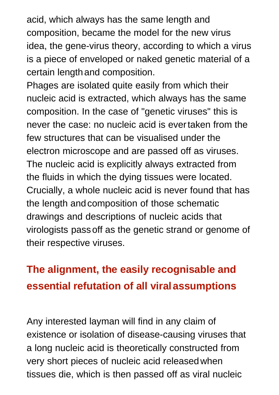acid, which always has the same length and composition, became the model for the new virus idea, the gene-virus theory, according to which a virus is a piece of enveloped or naked genetic material of a certain lengthand composition.

Phages are isolated quite easily from which their nucleic acid is extracted, which always has the same composition. In the case of "genetic viruses" this is never the case: no nucleic acid is evertaken from the few structures that can be visualised under the electron microscope and are passed off as viruses. The nucleic acid is explicitly always extracted from the fluids in which the dying tissues were located. Crucially, a whole nucleic acid is never found that has the length andcomposition of those schematic drawings and descriptions of nucleic acids that virologists passoff as the genetic strand or genome of their respective viruses.

# **The alignment, the easily recognisable and essential refutation of all viralassumptions**

Any interested layman will find in any claim of existence or isolation of disease-causing viruses that a long nucleic acid is theoretically constructed from very short pieces of nucleic acid releasedwhen tissues die, which is then passed off as viral nucleic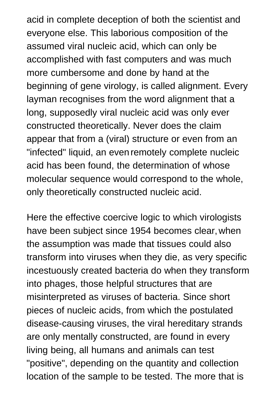acid in complete deception of both the scientist and everyone else. This laborious composition of the assumed viral nucleic acid, which can only be accomplished with fast computers and was much more cumbersome and done by hand at the beginning of gene virology, is called alignment. Every layman recognises from the word alignment that a long, supposedly viral nucleic acid was only ever constructed theoretically. Never does the claim appear that from a (viral) structure or even from an "infected" liquid, an evenremotely complete nucleic acid has been found, the determination of whose molecular sequence would correspond to the whole, only theoretically constructed nucleic acid.

Here the effective coercive logic to which virologists have been subject since 1954 becomes clear,when the assumption was made that tissues could also transform into viruses when they die, as very specific incestuously created bacteria do when they transform into phages, those helpful structures that are misinterpreted as viruses of bacteria. Since short pieces of nucleic acids, from which the postulated disease-causing viruses, the viral hereditary strands are only mentally constructed, are found in every living being, all humans and animals can test "positive", depending on the quantity and collection location of the sample to be tested. The more that is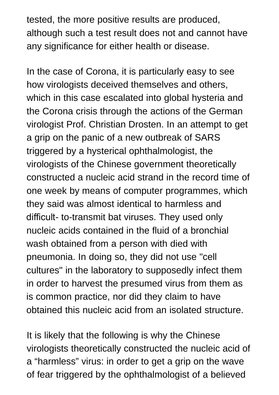tested, the more positive results are produced, although such a test result does not and cannot have any significance for either health or disease.

In the case of Corona, it is particularly easy to see how virologists deceived themselves and others, which in this case escalated into global hysteria and the Corona crisis through the actions of the German virologist Prof. Christian Drosten. In an attempt to get a grip on the panic of a new outbreak of SARS triggered by a hysterical ophthalmologist, the virologists of the Chinese government theoretically constructed a nucleic acid strand in the record time of one week by means of computer programmes, which they said was almost identical to harmless and difficult- to-transmit bat viruses. They used only nucleic acids contained in the fluid of a bronchial wash obtained from a person with died with pneumonia. In doing so, they did not use "cell cultures" in the laboratory to supposedly infect them in order to harvest the presumed virus from them as is common practice, nor did they claim to have obtained this nucleic acid from an isolated structure.

It is likely that the following is why the Chinese virologists theoretically constructed the nucleic acid of a "harmless" virus: in order to get a grip on the wave of fear triggered by the ophthalmologist of a believed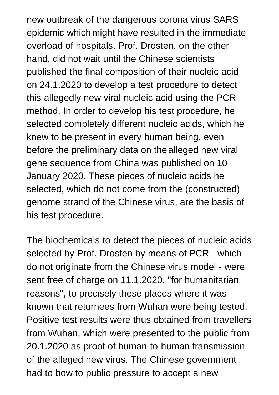new outbreak of the dangerous corona virus SARS epidemic whichmight have resulted in the immediate overload of hospitals. Prof. Drosten, on the other hand, did not wait until the Chinese scientists published the final composition of their nucleic acid on 24.1.2020 to develop a test procedure to detect this allegedly new viral nucleic acid using the PCR method. In order to develop his test procedure, he selected completely different nucleic acids, which he knew to be present in every human being, even before the preliminary data on thealleged new viral gene sequence from China was published on 10 January 2020. These pieces of nucleic acids he selected, which do not come from the (constructed) genome strand of the Chinese virus, are the basis of his test procedure.

The biochemicals to detect the pieces of nucleic acids selected by Prof. Drosten by means of PCR - which do not originate from the Chinese virus model - were sent free of charge on 11.1.2020, "for humanitarian reasons", to precisely these places where it was known that returnees from Wuhan were being tested. Positive test results were thus obtained from travellers from Wuhan, which were presented to the public from 20.1.2020 as proof of human-to-human transmission of the alleged new virus. The Chinese government had to bow to public pressure to accept a new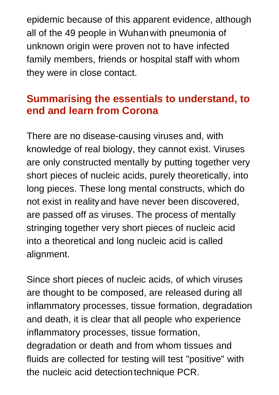epidemic because of this apparent evidence, although all of the 49 people in Wuhanwith pneumonia of unknown origin were proven not to have infected family members, friends or hospital staff with whom they were in close contact.

## **Summarising the essentials to understand, to end and learn from Corona**

There are no disease-causing viruses and, with knowledge of real biology, they cannot exist. Viruses are only constructed mentally by putting together very short pieces of nucleic acids, purely theoretically, into long pieces. These long mental constructs, which do not exist in realityand have never been discovered, are passed off as viruses. The process of mentally stringing together very short pieces of nucleic acid into a theoretical and long nucleic acid is called alignment.

Since short pieces of nucleic acids, of which viruses are thought to be composed, are released during all inflammatory processes, tissue formation, degradation and death, it is clear that all people who experience inflammatory processes, tissue formation, degradation or death and from whom tissues and fluids are collected for testing will test "positive" with the nucleic acid detection technique PCR.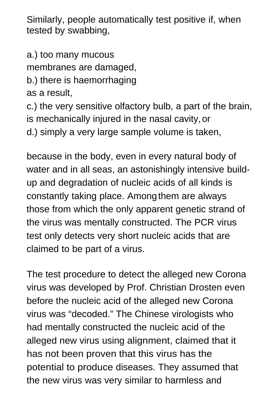Similarly, people automatically test positive if, when tested by swabbing,

a.) too many mucous

membranes are damaged,

b.) there is haemorrhaging

as a result,

c.) the very sensitive olfactory bulb, a part of the brain, is mechanically injured in the nasal cavity,or

d.) simply a very large sample volume is taken,

because in the body, even in every natural body of water and in all seas, an astonishingly intensive buildup and degradation of nucleic acids of all kinds is constantly taking place. Amongthem are always those from which the only apparent genetic strand of the virus was mentally constructed. The PCR virus test only detects very short nucleic acids that are claimed to be part of a virus.

The test procedure to detect the alleged new Corona virus was developed by Prof. Christian Drosten even before the nucleic acid of the alleged new Corona virus was "decoded." The Chinese virologists who had mentally constructed the nucleic acid of the alleged new virus using alignment, claimed that it has not been proven that this virus has the potential to produce diseases. They assumed that the new virus was very similar to harmless and